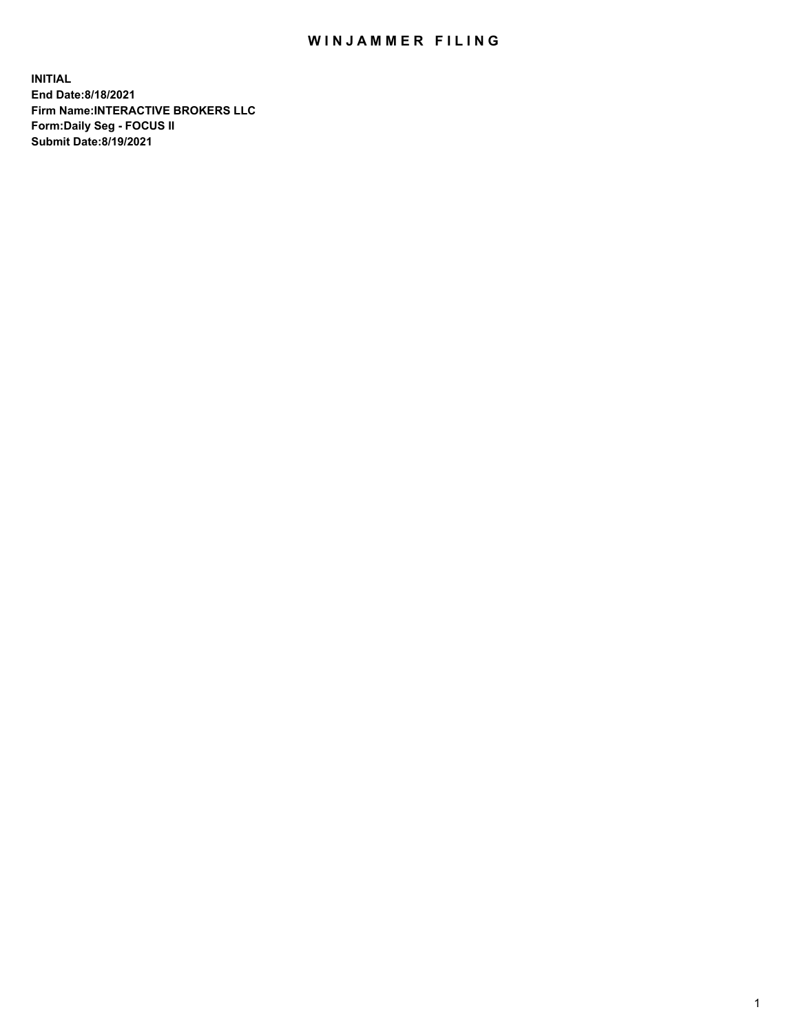## WIN JAMMER FILING

**INITIAL End Date:8/18/2021 Firm Name:INTERACTIVE BROKERS LLC Form:Daily Seg - FOCUS II Submit Date:8/19/2021**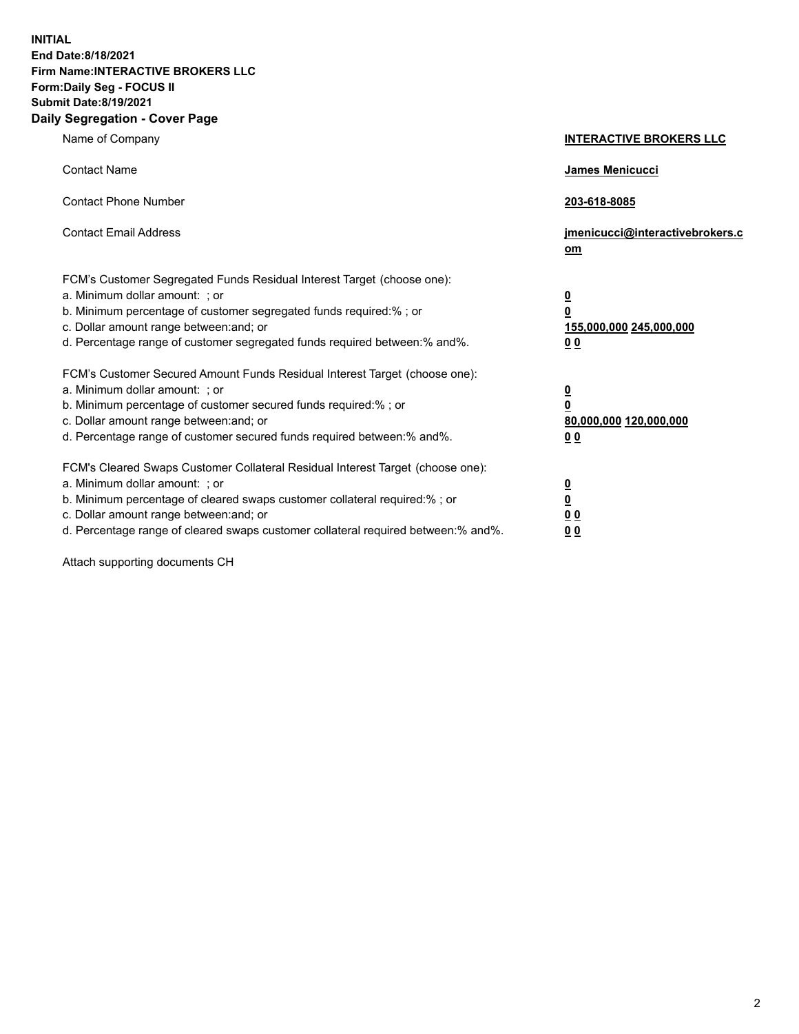**INITIAL End Date:8/18/2021 Firm Name:INTERACTIVE BROKERS LLC Form:Daily Seg - FOCUS II Submit Date:8/19/2021 Daily Segregation - Cover Page**

| Name of Company                                                                                                                                                                                                                                                                                                               | <b>INTERACTIVE BROKERS LLC</b>                                                            |
|-------------------------------------------------------------------------------------------------------------------------------------------------------------------------------------------------------------------------------------------------------------------------------------------------------------------------------|-------------------------------------------------------------------------------------------|
| <b>Contact Name</b>                                                                                                                                                                                                                                                                                                           | James Menicucci                                                                           |
| <b>Contact Phone Number</b>                                                                                                                                                                                                                                                                                                   | 203-618-8085                                                                              |
| <b>Contact Email Address</b>                                                                                                                                                                                                                                                                                                  | jmenicucci@interactivebrokers.c<br><u>om</u>                                              |
| FCM's Customer Segregated Funds Residual Interest Target (choose one):<br>a. Minimum dollar amount: ; or<br>b. Minimum percentage of customer segregated funds required:% ; or<br>c. Dollar amount range between: and; or<br>d. Percentage range of customer segregated funds required between: % and %.                      | $\overline{\mathbf{0}}$<br>0<br>155,000,000 245,000,000<br>0 <sub>0</sub>                 |
| FCM's Customer Secured Amount Funds Residual Interest Target (choose one):<br>a. Minimum dollar amount: ; or<br>b. Minimum percentage of customer secured funds required:%; or<br>c. Dollar amount range between: and; or<br>d. Percentage range of customer secured funds required between:% and%.                           | <u>0</u><br>$\overline{\mathbf{0}}$<br>80,000,000 120,000,000<br>00                       |
| FCM's Cleared Swaps Customer Collateral Residual Interest Target (choose one):<br>a. Minimum dollar amount: ; or<br>b. Minimum percentage of cleared swaps customer collateral required:%; or<br>c. Dollar amount range between: and; or<br>d. Percentage range of cleared swaps customer collateral required between:% and%. | <u>0</u><br>$\underline{\mathbf{0}}$<br>$\underline{0}$ $\underline{0}$<br>0 <sub>0</sub> |

Attach supporting documents CH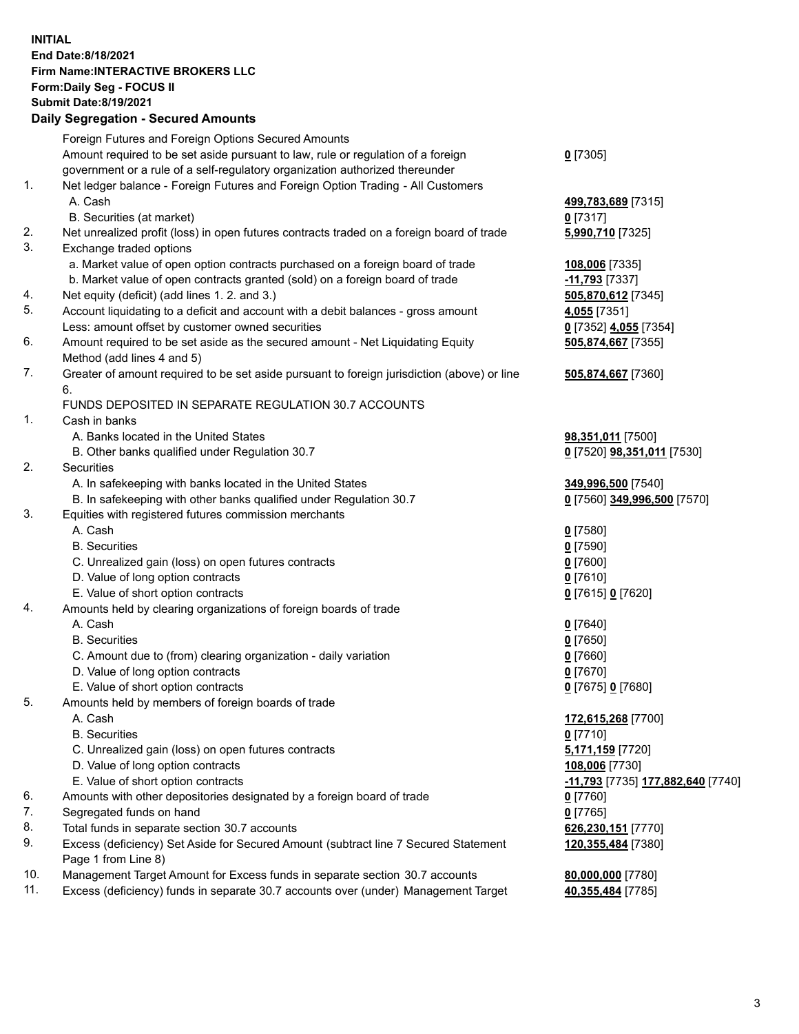## **INITIAL End Date:8/18/2021 Firm Name:INTERACTIVE BROKERS LLC Form:Daily Seg - FOCUS II Submit Date:8/19/2021 Daily Segregation - Secured Amounts**

|     | Daily Segregation - Secured Amounts                                                         |                                                 |
|-----|---------------------------------------------------------------------------------------------|-------------------------------------------------|
|     | Foreign Futures and Foreign Options Secured Amounts                                         |                                                 |
|     | Amount required to be set aside pursuant to law, rule or regulation of a foreign            | $0$ [7305]                                      |
|     | government or a rule of a self-regulatory organization authorized thereunder                |                                                 |
| 1.  | Net ledger balance - Foreign Futures and Foreign Option Trading - All Customers             |                                                 |
|     | A. Cash                                                                                     | 499,783,689 [7315]                              |
|     | B. Securities (at market)                                                                   | $0$ [7317]                                      |
| 2.  | Net unrealized profit (loss) in open futures contracts traded on a foreign board of trade   | 5,990,710 [7325]                                |
| 3.  | Exchange traded options                                                                     |                                                 |
|     | a. Market value of open option contracts purchased on a foreign board of trade              | 108,006 [7335]                                  |
|     | b. Market value of open contracts granted (sold) on a foreign board of trade                | -11,793 [7337]                                  |
| 4.  | Net equity (deficit) (add lines 1. 2. and 3.)                                               | 505,870,612 [7345]                              |
| 5.  | Account liquidating to a deficit and account with a debit balances - gross amount           | 4,055 [7351]                                    |
|     | Less: amount offset by customer owned securities                                            | 0 [7352] 4,055 [7354]                           |
| 6.  | Amount required to be set aside as the secured amount - Net Liquidating Equity              | 505,874,667 [7355]                              |
|     | Method (add lines 4 and 5)                                                                  |                                                 |
| 7.  | Greater of amount required to be set aside pursuant to foreign jurisdiction (above) or line | 505,874,667 [7360]                              |
|     | 6.                                                                                          |                                                 |
|     | <b>FUNDS DEPOSITED IN SEPARATE REGULATION 30.7 ACCOUNTS</b>                                 |                                                 |
| 1.  | Cash in banks                                                                               |                                                 |
|     | A. Banks located in the United States                                                       | 98,351,011 [7500]                               |
|     | B. Other banks qualified under Regulation 30.7                                              | 0 [7520] <b>98,351,011</b> [7530]               |
| 2.  | Securities                                                                                  |                                                 |
|     | A. In safekeeping with banks located in the United States                                   | 349,996,500 [7540]                              |
|     | B. In safekeeping with other banks qualified under Regulation 30.7                          | 0 [7560] 349,996,500 [7570]                     |
| 3.  | Equities with registered futures commission merchants                                       |                                                 |
|     | A. Cash                                                                                     | $0$ [7580]                                      |
|     | <b>B.</b> Securities                                                                        | $0$ [7590]                                      |
|     | C. Unrealized gain (loss) on open futures contracts                                         | $0$ [7600]                                      |
|     | D. Value of long option contracts                                                           | $0$ [7610]                                      |
|     | E. Value of short option contracts                                                          | 0 [7615] 0 [7620]                               |
| 4.  | Amounts held by clearing organizations of foreign boards of trade                           |                                                 |
|     | A. Cash                                                                                     | $0$ [7640]                                      |
|     | <b>B.</b> Securities                                                                        | $0$ [7650]                                      |
|     | C. Amount due to (from) clearing organization - daily variation                             | $0$ [7660]                                      |
|     | D. Value of long option contracts                                                           | $0$ [7670]                                      |
|     | E. Value of short option contracts                                                          | 0 [7675] 0 [7680]                               |
| 5.  | Amounts held by members of foreign boards of trade                                          |                                                 |
|     | A. Cash                                                                                     | 172,615,268 [7700]                              |
|     | <b>B.</b> Securities                                                                        | $0$ [7710]                                      |
|     | C. Unrealized gain (loss) on open futures contracts                                         | 5,171,159 [7720]                                |
|     | D. Value of long option contracts                                                           | 108,006 [7730]                                  |
|     | E. Value of short option contracts                                                          | <u>-11,793</u> [7735] <u>177,882,640</u> [7740] |
| 6.  | Amounts with other depositories designated by a foreign board of trade                      | 0 [7760]                                        |
| 7.  | Segregated funds on hand                                                                    | $0$ [7765]                                      |
| 8.  | Total funds in separate section 30.7 accounts                                               | 626,230,151 [7770]                              |
| 9.  | Excess (deficiency) Set Aside for Secured Amount (subtract line 7 Secured Statement         | 120,355,484 [7380]                              |
|     | Page 1 from Line 8)                                                                         |                                                 |
| 10. | Management Target Amount for Excess funds in separate section 30.7 accounts                 | 80,000,000 [7780]                               |
| 11. | Excess (deficiency) funds in separate 30.7 accounts over (under) Management Target          | 40,355,484 [7785]                               |
|     |                                                                                             |                                                 |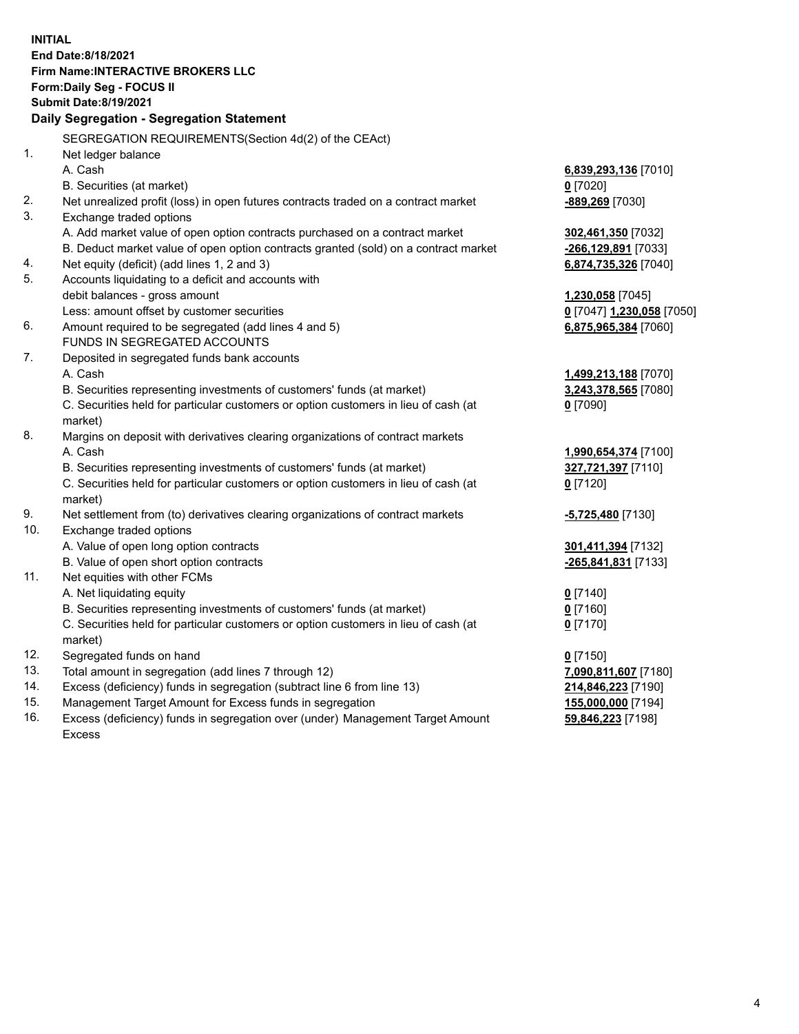**INITIAL End Date:8/18/2021 Firm Name:INTERACTIVE BROKERS LLC Form:Daily Seg - FOCUS II Submit Date:8/19/2021 Daily Segregation - Segregation Statement** SEGREGATION REQUIREMENTS(Section 4d(2) of the CEAct) 1. Net ledger balance A. Cash **6,839,293,136** [7010] B. Securities (at market) **0** [7020] 2. Net unrealized profit (loss) in open futures contracts traded on a contract market **-889,269** [7030] 3. Exchange traded options A. Add market value of open option contracts purchased on a contract market **302,461,350** [7032] B. Deduct market value of open option contracts granted (sold) on a contract market **-266,129,891** [7033] 4. Net equity (deficit) (add lines 1, 2 and 3) **6,874,735,326** [7040] 5. Accounts liquidating to a deficit and accounts with debit balances - gross amount **1,230,058** [7045] Less: amount offset by customer securities **0** [7047] **1,230,058** [7050] 6. Amount required to be segregated (add lines 4 and 5) **6,875,965,384** [7060] FUNDS IN SEGREGATED ACCOUNTS 7. Deposited in segregated funds bank accounts A. Cash **1,499,213,188** [7070] B. Securities representing investments of customers' funds (at market) **3,243,378,565** [7080] C. Securities held for particular customers or option customers in lieu of cash (at market) **0** [7090] 8. Margins on deposit with derivatives clearing organizations of contract markets A. Cash **1,990,654,374** [7100] B. Securities representing investments of customers' funds (at market) **327,721,397** [7110] C. Securities held for particular customers or option customers in lieu of cash (at market) **0** [7120] 9. Net settlement from (to) derivatives clearing organizations of contract markets **-5,725,480** [7130] 10. Exchange traded options A. Value of open long option contracts **301,411,394** [7132] B. Value of open short option contracts **-265,841,831** [7133] 11. Net equities with other FCMs A. Net liquidating equity **0** [7140] B. Securities representing investments of customers' funds (at market) **0** [7160] C. Securities held for particular customers or option customers in lieu of cash (at market) **0** [7170] 12. Segregated funds on hand **0** [7150] 13. Total amount in segregation (add lines 7 through 12) **7,090,811,607** [7180] 14. Excess (deficiency) funds in segregation (subtract line 6 from line 13) **214,846,223** [7190] 15. Management Target Amount for Excess funds in segregation **155,000,000** [7194]

16. Excess (deficiency) funds in segregation over (under) Management Target Amount Excess

**59,846,223** [7198]